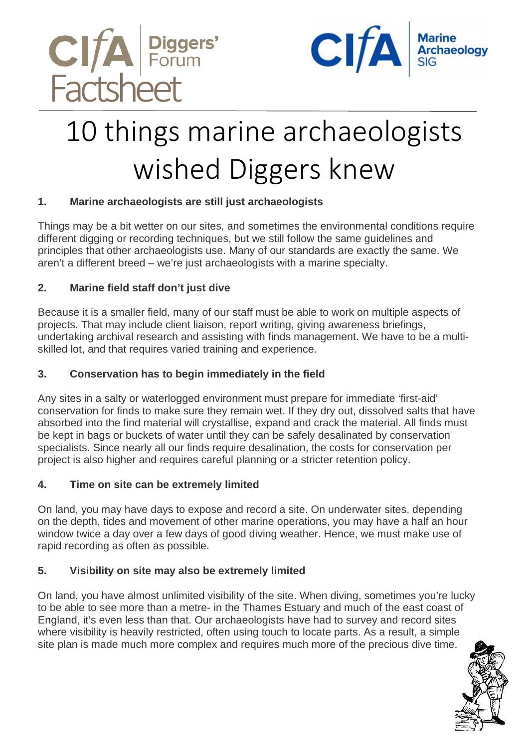



# 10 things marine archaeologists wished Diggers knew

## **1. Marine archaeologists are still just archaeologists**

Things may be a bit wetter on our sites, and sometimes the environmental conditions require different digging or recording techniques, but we still follow the same guidelines and principles that other archaeologists use. Many of our standards are exactly the same. We aren't a different breed – we're just archaeologists with a marine specialty.

## **2. Marine field staff don't just dive**

Because it is a smaller field, many of our staff must be able to work on multiple aspects of projects. That may include client liaison, report writing, giving awareness briefings, undertaking archival research and assisting with finds management. We have to be a multiskilled lot, and that requires varied training and experience.

### **3. Conservation has to begin immediately in the field**

Any sites in a salty or waterlogged environment must prepare for immediate 'first-aid' conservation for finds to make sure they remain wet. If they dry out, dissolved salts that have absorbed into the find material will crystallise, expand and crack the material. All finds must be kept in bags or buckets of water until they can be safely desalinated by conservation specialists. Since nearly all our finds require desalination, the costs for conservation per project is also higher and requires careful planning or a stricter retention policy.

#### **4. Time on site can be extremely limited**

On land, you may have days to expose and record a site. On underwater sites, depending on the depth, tides and movement of other marine operations, you may have a half an hour window twice a day over a few days of good diving weather. Hence, we must make use of rapid recording as often as possible.

## **5. Visibility on site may also be extremely limited**

On land, you have almost unlimited visibility of the site. When diving, sometimes you're lucky to be able to see more than a metre- in the Thames Estuary and much of the east coast of England, it's even less than that. Our archaeologists have had to survey and record sites where visibility is heavily restricted, often using touch to locate parts. As a result, a simple site plan is made much more complex and requires much more of the precious dive time.